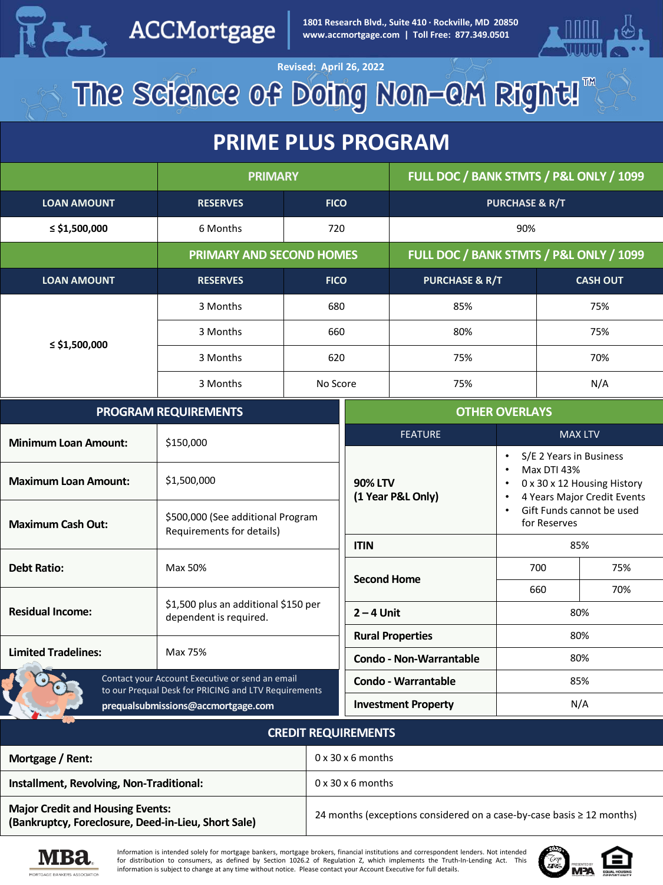

ACCMortgage

**PRIME PLUS PRIME PRIME PRIME PROGRAM**<br> **PRIME PLUS PROGRAM**<br> **PRIME PRIME PRIME PRIME PRIME PRIME PRIME PRIME PRIME PRIME PRIME PRIME PRIME PRIME PRIME PRIME PRIME PRIME PRIME PRIME PRIME PRIME PRIME PRIME PRIME PRIME PRI 1801 Research Blvd., Suite 410 · Rockville, MD 20850**



**Revised: April 26, 2022** The Science of Doing Non-OM Right!"

### **PRIME PLUS PROGRAM**

|                    | <b>PRIMARY</b>                  |             | FULL DOC / BANK STMTS / P&L ONLY / 1099 |                 |
|--------------------|---------------------------------|-------------|-----------------------------------------|-----------------|
| <b>LOAN AMOUNT</b> | <b>RESERVES</b>                 | <b>FICO</b> | <b>PURCHASE &amp; R/T</b>               |                 |
| ≤ \$1,500,000      | 6 Months                        | 720         | 90%                                     |                 |
|                    | <b>PRIMARY AND SECOND HOMES</b> |             | FULL DOC / BANK STMTS / P&L ONLY / 1099 |                 |
| <b>LOAN AMOUNT</b> | <b>RESERVES</b>                 | <b>FICO</b> | <b>PURCHASE &amp; R/T</b>               | <b>CASH OUT</b> |
|                    | 3 Months                        | 680         | 85%                                     | 75%             |
|                    | 3 Months                        | 660         | 80%                                     | 75%             |
| ≤ \$1,500,000      | 3 Months                        | 620         | 75%                                     | 70%             |
|                    | 3 Months                        | No Score    | 75%                                     | N/A             |

| <b>PROGRAM REQUIREMENTS</b>                                                                             |                                                                | <b>OTHER OVERLAYS</b>               |                                                                                                                     |                |
|---------------------------------------------------------------------------------------------------------|----------------------------------------------------------------|-------------------------------------|---------------------------------------------------------------------------------------------------------------------|----------------|
| <b>Minimum Loan Amount:</b>                                                                             | \$150,000                                                      | <b>FEATURE</b>                      |                                                                                                                     | <b>MAX LTV</b> |
| <b>Maximum Loan Amount:</b>                                                                             | \$1,500,000                                                    | <b>90% LTV</b><br>(1 Year P&L Only) | S/E 2 Years in Business<br>٠<br>Max DTI 43%<br>٠<br>0 x 30 x 12 Housing History<br>٠<br>4 Years Major Credit Events |                |
| <b>Maximum Cash Out:</b>                                                                                | \$500,000 (See additional Program<br>Requirements for details) |                                     | Gift Funds cannot be used<br>for Reserves                                                                           |                |
|                                                                                                         | <b>ITIN</b>                                                    |                                     | 85%                                                                                                                 |                |
| <b>Debt Ratio:</b>                                                                                      | Max 50%                                                        | <b>Second Home</b>                  | 700                                                                                                                 | 75%            |
|                                                                                                         |                                                                |                                     | 660                                                                                                                 | 70%            |
| <b>Residual Income:</b>                                                                                 | \$1,500 plus an additional \$150 per<br>dependent is required. | $2 - 4$ Unit                        | 80%                                                                                                                 |                |
|                                                                                                         |                                                                | <b>Rural Properties</b>             |                                                                                                                     | 80%            |
| <b>Limited Tradelines:</b>                                                                              | Max 75%                                                        | <b>Condo - Non-Warrantable</b>      |                                                                                                                     | 80%            |
| Contact your Account Executive or send an email<br>to our Prequal Desk for PRICING and LTV Requirements |                                                                | <b>Condo - Warrantable</b>          | 85%                                                                                                                 |                |
| prequalsubmissions@accmortgage.com                                                                      |                                                                | <b>Investment Property</b>          | N/A                                                                                                                 |                |

#### **CREDIT REQUIREMENTS**

| Mortgage / Rent:                                                                               | $0 \times 30 \times 6$ months                                              |
|------------------------------------------------------------------------------------------------|----------------------------------------------------------------------------|
| Installment, Revolving, Non-Traditional:                                                       | $0 \times 30 \times 6$ months                                              |
| <b>Major Credit and Housing Events:</b><br>(Bankruptcy, Foreclosure, Deed-in-Lieu, Short Sale) | 24 months (exceptions considered on a case-by-case basis $\geq 12$ months) |



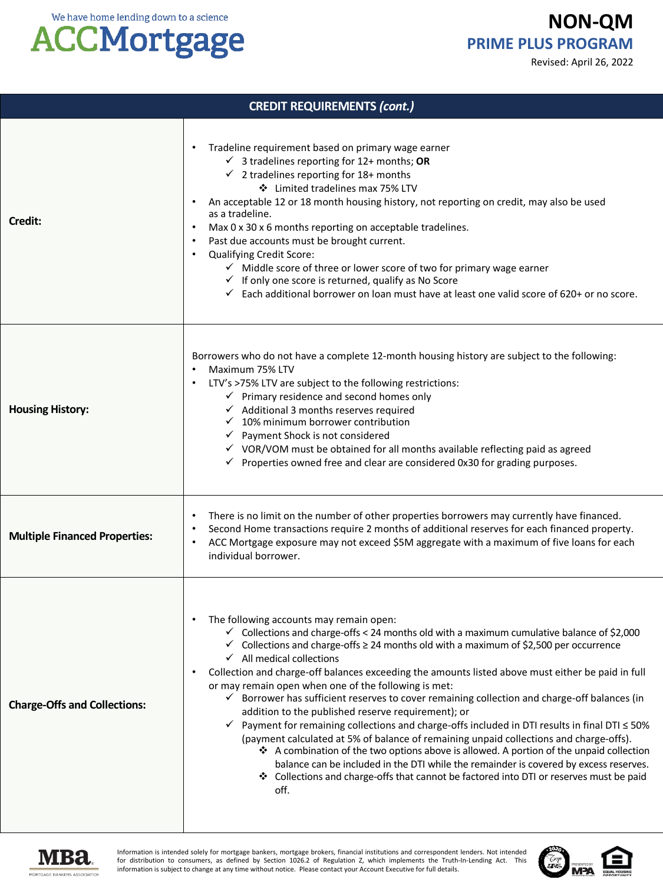## **ACCMortgage**

**NON-QM PRIME PLUS PROGRAM**

Revised: April 26, 2022

| <b>CREDIT REQUIREMENTS (cont.)</b>   |                                                                                                                                                                                                                                                                                                                                                                                                                                                                                                                                                                                                                                                                                                                                                                                                                                                                                                                                                                                                                                                                                                                                            |  |
|--------------------------------------|--------------------------------------------------------------------------------------------------------------------------------------------------------------------------------------------------------------------------------------------------------------------------------------------------------------------------------------------------------------------------------------------------------------------------------------------------------------------------------------------------------------------------------------------------------------------------------------------------------------------------------------------------------------------------------------------------------------------------------------------------------------------------------------------------------------------------------------------------------------------------------------------------------------------------------------------------------------------------------------------------------------------------------------------------------------------------------------------------------------------------------------------|--|
| Credit:                              | Tradeline requirement based on primary wage earner<br>$\bullet$<br>$\checkmark$ 3 tradelines reporting for 12+ months; OR<br>$\checkmark$ 2 tradelines reporting for 18+ months<br>❖ Limited tradelines max 75% LTV<br>An acceptable 12 or 18 month housing history, not reporting on credit, may also be used<br>as a tradeline.<br>Max 0 x 30 x 6 months reporting on acceptable tradelines.<br>Past due accounts must be brought current.<br>$\bullet$<br>Qualifying Credit Score:<br>$\bullet$<br>$\checkmark$ Middle score of three or lower score of two for primary wage earner<br>$\checkmark$ If only one score is returned, qualify as No Score<br>$\checkmark$ Each additional borrower on loan must have at least one valid score of 620+ or no score.                                                                                                                                                                                                                                                                                                                                                                         |  |
| <b>Housing History:</b>              | Borrowers who do not have a complete 12-month housing history are subject to the following:<br>Maximum 75% LTV<br>LTV's >75% LTV are subject to the following restrictions:<br>$\bullet$<br>$\checkmark$ Primary residence and second homes only<br>$\checkmark$ Additional 3 months reserves required<br>$\checkmark$ 10% minimum borrower contribution<br>$\checkmark$ Payment Shock is not considered<br>√ VOR/VOM must be obtained for all months available reflecting paid as agreed<br>$\checkmark$ Properties owned free and clear are considered 0x30 for grading purposes.                                                                                                                                                                                                                                                                                                                                                                                                                                                                                                                                                        |  |
| <b>Multiple Financed Properties:</b> | There is no limit on the number of other properties borrowers may currently have financed.<br>Second Home transactions require 2 months of additional reserves for each financed property.<br>$\bullet$<br>ACC Mortgage exposure may not exceed \$5M aggregate with a maximum of five loans for each<br>$\bullet$<br>individual borrower.                                                                                                                                                                                                                                                                                                                                                                                                                                                                                                                                                                                                                                                                                                                                                                                                  |  |
| <b>Charge-Offs and Collections:</b>  | The following accounts may remain open:<br>$\bullet$<br>$\checkmark$ Collections and charge-offs < 24 months old with a maximum cumulative balance of \$2,000<br>$\checkmark$ Collections and charge-offs $\geq$ 24 months old with a maximum of \$2,500 per occurrence<br>$\checkmark$ All medical collections<br>Collection and charge-off balances exceeding the amounts listed above must either be paid in full<br>$\bullet$<br>or may remain open when one of the following is met:<br>√ Borrower has sufficient reserves to cover remaining collection and charge-off balances (in<br>addition to the published reserve requirement); or<br>Payment for remaining collections and charge-offs included in DTI results in final DTI $\leq$ 50%<br>✓<br>(payment calculated at 5% of balance of remaining unpaid collections and charge-offs).<br>❖ A combination of the two options above is allowed. A portion of the unpaid collection<br>balance can be included in the DTI while the remainder is covered by excess reserves.<br>* Collections and charge-offs that cannot be factored into DTI or reserves must be paid<br>off. |  |



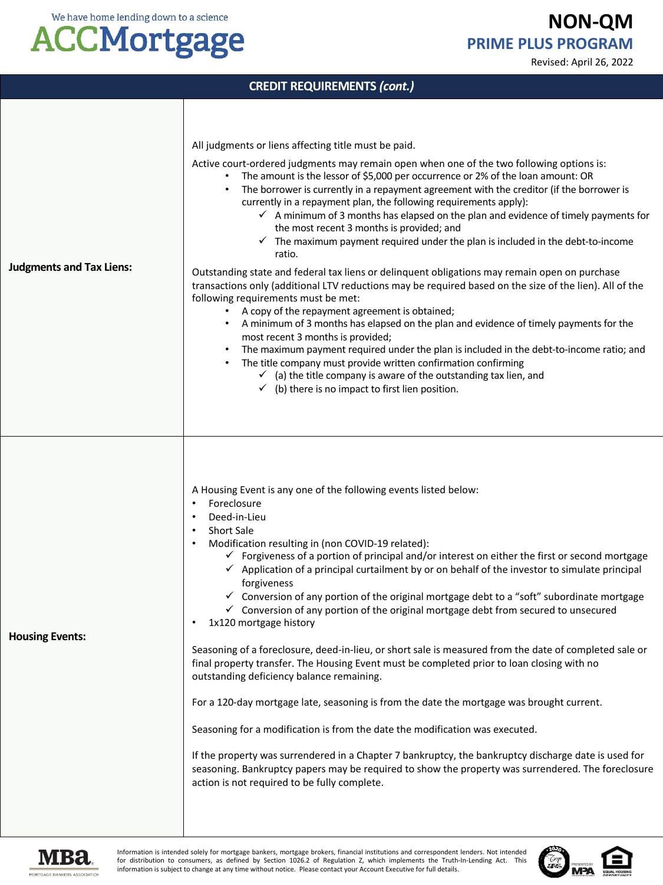### **ACCMortgage**

**NON-QM PRIME PLUS PROGRAM**

Revised: April 26, 2022

| <b>CREDIT REQUIREMENTS (cont.)</b> |                                                                                                                                                                                                                                                                                                                                                                                                                                                                                                                                                                                                                                                                                                                                                                                                                                                                                                                                                                                                                                                                                                                                                                                                                                                                                                                                                                                                                                       |  |
|------------------------------------|---------------------------------------------------------------------------------------------------------------------------------------------------------------------------------------------------------------------------------------------------------------------------------------------------------------------------------------------------------------------------------------------------------------------------------------------------------------------------------------------------------------------------------------------------------------------------------------------------------------------------------------------------------------------------------------------------------------------------------------------------------------------------------------------------------------------------------------------------------------------------------------------------------------------------------------------------------------------------------------------------------------------------------------------------------------------------------------------------------------------------------------------------------------------------------------------------------------------------------------------------------------------------------------------------------------------------------------------------------------------------------------------------------------------------------------|--|
| <b>Judgments and Tax Liens:</b>    | All judgments or liens affecting title must be paid.<br>Active court-ordered judgments may remain open when one of the two following options is:<br>The amount is the lessor of \$5,000 per occurrence or 2% of the loan amount: OR<br>$\bullet$<br>The borrower is currently in a repayment agreement with the creditor (if the borrower is<br>currently in a repayment plan, the following requirements apply):<br>$\checkmark$ A minimum of 3 months has elapsed on the plan and evidence of timely payments for<br>the most recent 3 months is provided; and<br>$\checkmark$ The maximum payment required under the plan is included in the debt-to-income<br>ratio.<br>Outstanding state and federal tax liens or delinguent obligations may remain open on purchase<br>transactions only (additional LTV reductions may be required based on the size of the lien). All of the<br>following requirements must be met:<br>A copy of the repayment agreement is obtained;<br>A minimum of 3 months has elapsed on the plan and evidence of timely payments for the<br>$\bullet$<br>most recent 3 months is provided;<br>The maximum payment required under the plan is included in the debt-to-income ratio; and<br>The title company must provide written confirmation confirming<br>$\checkmark$ (a) the title company is aware of the outstanding tax lien, and<br>$\checkmark$ (b) there is no impact to first lien position. |  |
| <b>Housing Events:</b>             | A Housing Event is any one of the following events listed below:<br>Foreclosure<br>$\bullet$<br>Deed-in-Lieu<br><b>Short Sale</b><br>$\bullet$<br>Modification resulting in (non COVID-19 related):<br>$\bullet$<br>$\checkmark$ Forgiveness of a portion of principal and/or interest on either the first or second mortgage<br>$\checkmark$ Application of a principal curtailment by or on behalf of the investor to simulate principal<br>forgiveness<br>✓ Conversion of any portion of the original mortgage debt to a "soft" subordinate mortgage<br>$\checkmark$ Conversion of any portion of the original mortgage debt from secured to unsecured<br>1x120 mortgage history<br>Seasoning of a foreclosure, deed-in-lieu, or short sale is measured from the date of completed sale or<br>final property transfer. The Housing Event must be completed prior to loan closing with no<br>outstanding deficiency balance remaining.<br>For a 120-day mortgage late, seasoning is from the date the mortgage was brought current.<br>Seasoning for a modification is from the date the modification was executed.<br>If the property was surrendered in a Chapter 7 bankruptcy, the bankruptcy discharge date is used for<br>seasoning. Bankruptcy papers may be required to show the property was surrendered. The foreclosure<br>action is not required to be fully complete.                                                   |  |



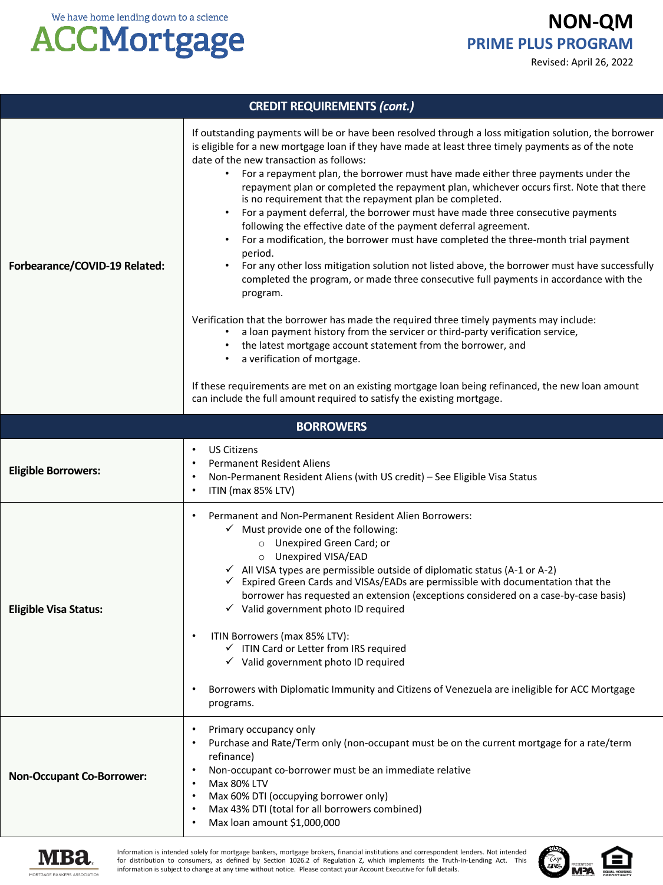**NON-QM PRIME PLUS PROGRAM**

Revised: April 26, 2022



| <b>CREDIT REQUIREMENTS (cont.)</b> |                                                                                                                                                                                                                                                                                                                                                                                                                                                                                                                                                                                                                                                                                                                                                                                                                                                                                                                                                                                                                                                                                                                                                                                                                                                                                                                                                                                                                         |  |
|------------------------------------|-------------------------------------------------------------------------------------------------------------------------------------------------------------------------------------------------------------------------------------------------------------------------------------------------------------------------------------------------------------------------------------------------------------------------------------------------------------------------------------------------------------------------------------------------------------------------------------------------------------------------------------------------------------------------------------------------------------------------------------------------------------------------------------------------------------------------------------------------------------------------------------------------------------------------------------------------------------------------------------------------------------------------------------------------------------------------------------------------------------------------------------------------------------------------------------------------------------------------------------------------------------------------------------------------------------------------------------------------------------------------------------------------------------------------|--|
| Forbearance/COVID-19 Related:      | If outstanding payments will be or have been resolved through a loss mitigation solution, the borrower<br>is eligible for a new mortgage loan if they have made at least three timely payments as of the note<br>date of the new transaction as follows:<br>For a repayment plan, the borrower must have made either three payments under the<br>repayment plan or completed the repayment plan, whichever occurs first. Note that there<br>is no requirement that the repayment plan be completed.<br>For a payment deferral, the borrower must have made three consecutive payments<br>following the effective date of the payment deferral agreement.<br>For a modification, the borrower must have completed the three-month trial payment<br>period.<br>For any other loss mitigation solution not listed above, the borrower must have successfully<br>completed the program, or made three consecutive full payments in accordance with the<br>program.<br>Verification that the borrower has made the required three timely payments may include:<br>a loan payment history from the servicer or third-party verification service,<br>the latest mortgage account statement from the borrower, and<br>a verification of mortgage.<br>If these requirements are met on an existing mortgage loan being refinanced, the new loan amount<br>can include the full amount required to satisfy the existing mortgage. |  |
| <b>BORROWERS</b>                   |                                                                                                                                                                                                                                                                                                                                                                                                                                                                                                                                                                                                                                                                                                                                                                                                                                                                                                                                                                                                                                                                                                                                                                                                                                                                                                                                                                                                                         |  |
| <b>Eligible Borrowers:</b>         | <b>US Citizens</b><br>$\bullet$<br><b>Permanent Resident Aliens</b><br>Non-Permanent Resident Aliens (with US credit) - See Eligible Visa Status<br>ITIN (max 85% LTV)<br>$\bullet$                                                                                                                                                                                                                                                                                                                                                                                                                                                                                                                                                                                                                                                                                                                                                                                                                                                                                                                                                                                                                                                                                                                                                                                                                                     |  |
| <b>Eligible Visa Status:</b>       | Permanent and Non-Permanent Resident Alien Borrowers:<br>$\bullet$<br>$\checkmark$ Must provide one of the following:<br>O Unexpired Green Card; or<br>O Unexpired VISA/EAD<br>√ All VISA types are permissible outside of diplomatic status (A-1 or A-2)<br>Expired Green Cards and VISAs/EADs are permissible with documentation that the<br>✓<br>borrower has requested an extension (exceptions considered on a case-by-case basis)<br>$\checkmark$ Valid government photo ID required<br>ITIN Borrowers (max 85% LTV):<br>√ ITIN Card or Letter from IRS required<br>$\checkmark$ Valid government photo ID required<br>Borrowers with Diplomatic Immunity and Citizens of Venezuela are ineligible for ACC Mortgage<br>programs.                                                                                                                                                                                                                                                                                                                                                                                                                                                                                                                                                                                                                                                                                  |  |
| <b>Non-Occupant Co-Borrower:</b>   | Primary occupancy only<br>Purchase and Rate/Term only (non-occupant must be on the current mortgage for a rate/term<br>refinance)<br>Non-occupant co-borrower must be an immediate relative<br>Max 80% LTV<br>Max 60% DTI (occupying borrower only)<br>Max 43% DTI (total for all borrowers combined)<br>Max loan amount \$1,000,000                                                                                                                                                                                                                                                                                                                                                                                                                                                                                                                                                                                                                                                                                                                                                                                                                                                                                                                                                                                                                                                                                    |  |



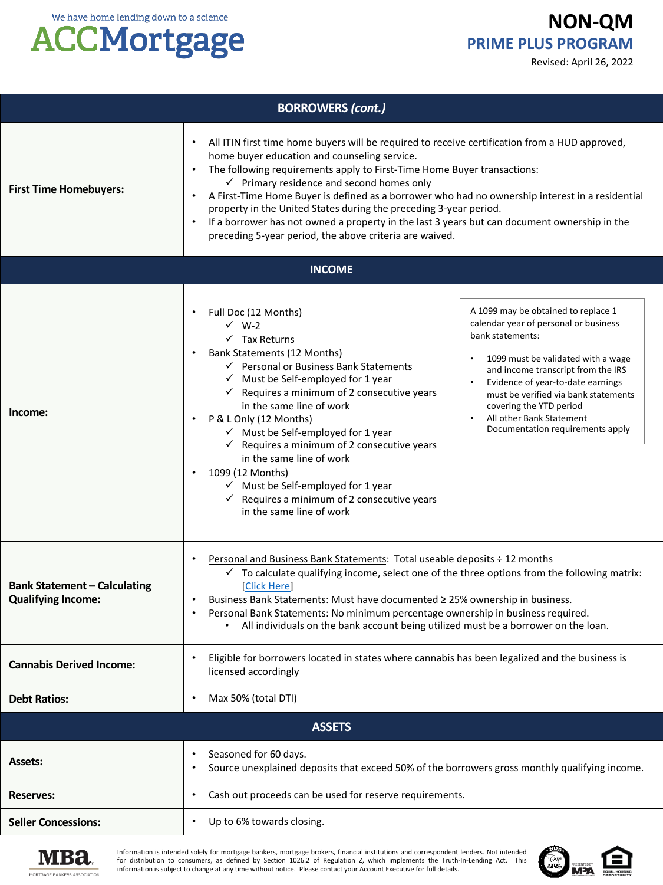# **ACCMortgage**

### **NON-QM PRIME PLUS PROGRAM**

Revised: April 26, 2022

| <b>BORROWERS (cont.)</b>                                         |                                                                                                                                                                                                                                                                                                                                                                                                                                                                                                                                                                                                                                                |                                                                                                                                                                                                                                                                                                                                                      |
|------------------------------------------------------------------|------------------------------------------------------------------------------------------------------------------------------------------------------------------------------------------------------------------------------------------------------------------------------------------------------------------------------------------------------------------------------------------------------------------------------------------------------------------------------------------------------------------------------------------------------------------------------------------------------------------------------------------------|------------------------------------------------------------------------------------------------------------------------------------------------------------------------------------------------------------------------------------------------------------------------------------------------------------------------------------------------------|
| <b>First Time Homebuyers:</b>                                    | All ITIN first time home buyers will be required to receive certification from a HUD approved,<br>home buyer education and counseling service.<br>The following requirements apply to First-Time Home Buyer transactions:<br>$\checkmark$ Primary residence and second homes only<br>A First-Time Home Buyer is defined as a borrower who had no ownership interest in a residential<br>$\bullet$<br>property in the United States during the preceding 3-year period.<br>If a borrower has not owned a property in the last 3 years but can document ownership in the<br>$\bullet$<br>preceding 5-year period, the above criteria are waived. |                                                                                                                                                                                                                                                                                                                                                      |
|                                                                  | <b>INCOME</b>                                                                                                                                                                                                                                                                                                                                                                                                                                                                                                                                                                                                                                  |                                                                                                                                                                                                                                                                                                                                                      |
| Income:                                                          | Full Doc (12 Months)<br>$\checkmark$ W-2<br>$\checkmark$ Tax Returns<br>Bank Statements (12 Months)<br>← Personal or Business Bank Statements<br>$\checkmark$ Must be Self-employed for 1 year<br>$\checkmark$ Requires a minimum of 2 consecutive years<br>in the same line of work<br>P & L Only (12 Months)<br>$\checkmark$ Must be Self-employed for 1 year<br>$\checkmark$ Requires a minimum of 2 consecutive years<br>in the same line of work<br>1099 (12 Months)<br>$\checkmark$ Must be Self-employed for 1 year<br>$\checkmark$ Requires a minimum of 2 consecutive years<br>in the same line of work                               | A 1099 may be obtained to replace 1<br>calendar year of personal or business<br>bank statements:<br>1099 must be validated with a wage<br>and income transcript from the IRS<br>Evidence of year-to-date earnings<br>must be verified via bank statements<br>covering the YTD period<br>All other Bank Statement<br>Documentation requirements apply |
| <b>Bank Statement - Calculating</b><br><b>Qualifying Income:</b> | Personal and Business Bank Statements: Total useable deposits ÷ 12 months<br>$\checkmark$ To calculate qualifying income, select one of the three options from the following matrix:<br><b>Click Here</b><br>Business Bank Statements: Must have documented ≥ 25% ownership in business.<br>Personal Bank Statements: No minimum percentage ownership in business required.<br>$\bullet$<br>All individuals on the bank account being utilized must be a borrower on the loan.                                                                                                                                                                 |                                                                                                                                                                                                                                                                                                                                                      |
| <b>Cannabis Derived Income:</b>                                  | Eligible for borrowers located in states where cannabis has been legalized and the business is<br>licensed accordingly                                                                                                                                                                                                                                                                                                                                                                                                                                                                                                                         |                                                                                                                                                                                                                                                                                                                                                      |
| <b>Debt Ratios:</b>                                              | Max 50% (total DTI)                                                                                                                                                                                                                                                                                                                                                                                                                                                                                                                                                                                                                            |                                                                                                                                                                                                                                                                                                                                                      |
|                                                                  | <b>ASSETS</b>                                                                                                                                                                                                                                                                                                                                                                                                                                                                                                                                                                                                                                  |                                                                                                                                                                                                                                                                                                                                                      |
| <b>Assets:</b>                                                   | Seasoned for 60 days.<br>٠<br>Source unexplained deposits that exceed 50% of the borrowers gross monthly qualifying income.<br>٠                                                                                                                                                                                                                                                                                                                                                                                                                                                                                                               |                                                                                                                                                                                                                                                                                                                                                      |
| <b>Reserves:</b>                                                 | Cash out proceeds can be used for reserve requirements.                                                                                                                                                                                                                                                                                                                                                                                                                                                                                                                                                                                        |                                                                                                                                                                                                                                                                                                                                                      |
| <b>Seller Concessions:</b>                                       | Up to 6% towards closing.<br>٠                                                                                                                                                                                                                                                                                                                                                                                                                                                                                                                                                                                                                 |                                                                                                                                                                                                                                                                                                                                                      |



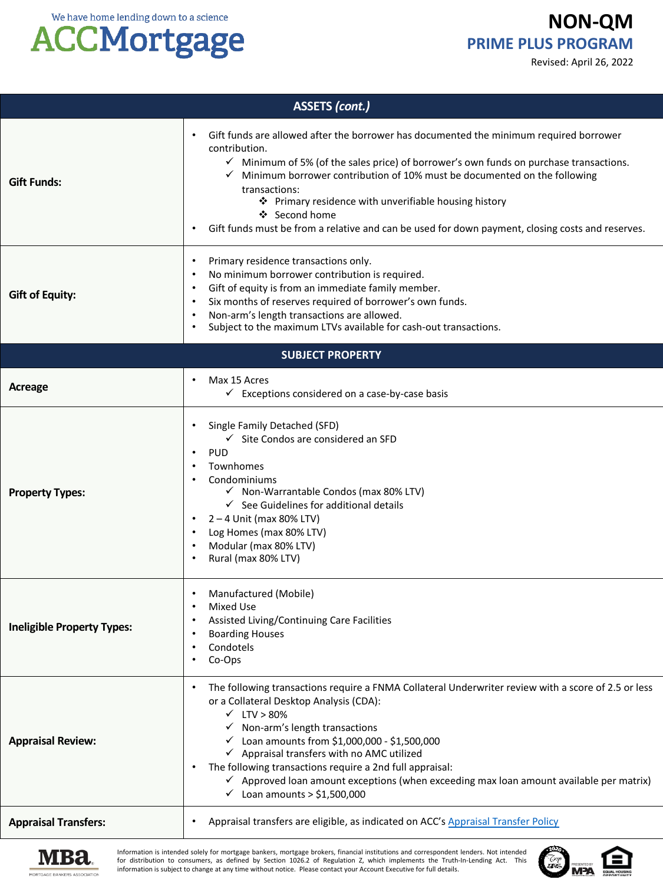## **ACCMortgage**

### **NON-QM PRIME PLUS PROGRAM**

Revised: April 26, 2022

| <b>ASSETS (cont.)</b>             |                                                                                                                                                                                                                                                                                                                                                                                                                                                                                                                                                                   |  |
|-----------------------------------|-------------------------------------------------------------------------------------------------------------------------------------------------------------------------------------------------------------------------------------------------------------------------------------------------------------------------------------------------------------------------------------------------------------------------------------------------------------------------------------------------------------------------------------------------------------------|--|
| <b>Gift Funds:</b>                | Gift funds are allowed after the borrower has documented the minimum required borrower<br>contribution.<br>$\checkmark$ Minimum of 5% (of the sales price) of borrower's own funds on purchase transactions.<br>Minimum borrower contribution of 10% must be documented on the following<br>transactions:<br>❖ Primary residence with unverifiable housing history<br>❖ Second home<br>Gift funds must be from a relative and can be used for down payment, closing costs and reserves.                                                                           |  |
| <b>Gift of Equity:</b>            | Primary residence transactions only.<br>$\bullet$<br>No minimum borrower contribution is required.<br>$\bullet$<br>Gift of equity is from an immediate family member.<br>$\bullet$<br>Six months of reserves required of borrower's own funds.<br>$\bullet$<br>Non-arm's length transactions are allowed.<br>Subject to the maximum LTVs available for cash-out transactions.                                                                                                                                                                                     |  |
|                                   | <b>SUBJECT PROPERTY</b>                                                                                                                                                                                                                                                                                                                                                                                                                                                                                                                                           |  |
| Acreage                           | Max 15 Acres<br>$\checkmark$ Exceptions considered on a case-by-case basis                                                                                                                                                                                                                                                                                                                                                                                                                                                                                        |  |
| <b>Property Types:</b>            | Single Family Detached (SFD)<br>$\checkmark$ Site Condos are considered an SFD<br><b>PUD</b><br>$\bullet$<br>Townhomes<br>Condominiums<br>√ Non-Warrantable Condos (max 80% LTV)<br>$\checkmark$ See Guidelines for additional details<br>$2 - 4$ Unit (max 80% LTV)<br>Log Homes (max 80% LTV)<br>$\bullet$<br>Modular (max 80% LTV)<br>Rural (max 80% LTV)                                                                                                                                                                                                      |  |
| <b>Ineligible Property Types:</b> | Manufactured (Mobile)<br>Mixed Use<br>Assisted Living/Continuing Care Facilities<br>$\bullet$<br><b>Boarding Houses</b><br>Condotels<br>Co-Ops                                                                                                                                                                                                                                                                                                                                                                                                                    |  |
| <b>Appraisal Review:</b>          | The following transactions require a FNMA Collateral Underwriter review with a score of 2.5 or less<br>or a Collateral Desktop Analysis (CDA):<br>$\times$ LTV > 80%<br>$\checkmark$ Non-arm's length transactions<br>$\checkmark$ Loan amounts from \$1,000,000 - \$1,500,000<br>$\checkmark$ Appraisal transfers with no AMC utilized<br>The following transactions require a 2nd full appraisal:<br>$\bullet$<br>$\checkmark$ Approved loan amount exceptions (when exceeding max loan amount available per matrix)<br>$\checkmark$ Loan amounts > \$1,500,000 |  |
| <b>Appraisal Transfers:</b>       | Appraisal transfers are eligible, as indicated on ACC's Appraisal Transfer Policy                                                                                                                                                                                                                                                                                                                                                                                                                                                                                 |  |



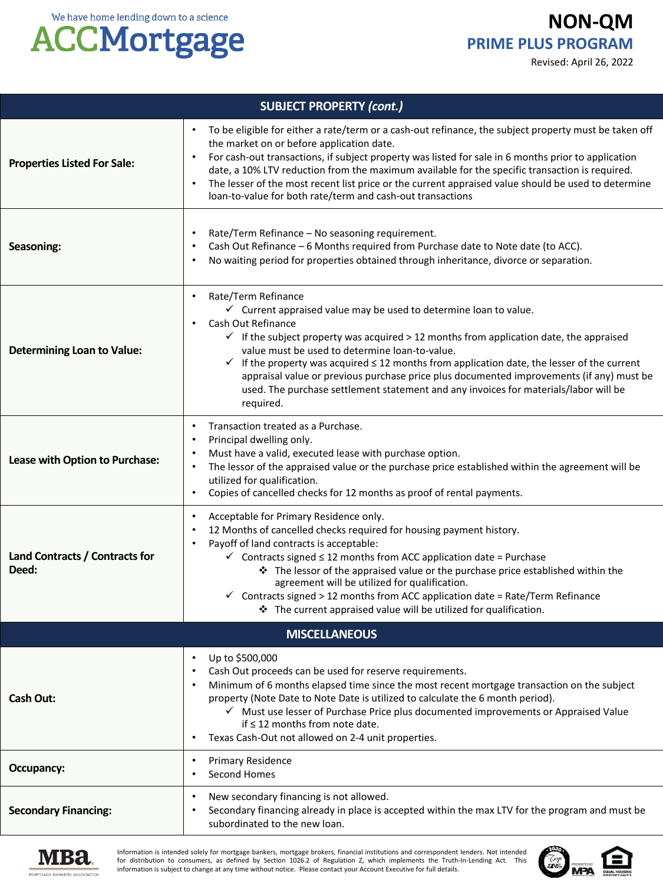**NON-QM PRIME PLUS PROGRAM**

Revised: April 26, 2022



| <b>SUBJECT PROPERTY (cont.)</b>         |                                                                                                                                                                                                                                                                                                                                                                                                                                                                                                                                                                                                                             |  |
|-----------------------------------------|-----------------------------------------------------------------------------------------------------------------------------------------------------------------------------------------------------------------------------------------------------------------------------------------------------------------------------------------------------------------------------------------------------------------------------------------------------------------------------------------------------------------------------------------------------------------------------------------------------------------------------|--|
| <b>Properties Listed For Sale:</b>      | To be eligible for either a rate/term or a cash-out refinance, the subject property must be taken off<br>$\bullet$<br>the market on or before application date.<br>For cash-out transactions, if subject property was listed for sale in 6 months prior to application<br>date, a 10% LTV reduction from the maximum available for the specific transaction is required.<br>The lesser of the most recent list price or the current appraised value should be used to determine<br>$\bullet$<br>loan-to-value for both rate/term and cash-out transactions                                                                  |  |
| Seasoning:                              | Rate/Term Refinance - No seasoning requirement.<br>$\bullet$<br>Cash Out Refinance - 6 Months required from Purchase date to Note date (to ACC).<br>$\bullet$<br>No waiting period for properties obtained through inheritance, divorce or separation.<br>$\bullet$                                                                                                                                                                                                                                                                                                                                                         |  |
| <b>Determining Loan to Value:</b>       | Rate/Term Refinance<br>$\bullet$<br>$\checkmark$ Current appraised value may be used to determine loan to value.<br>Cash Out Refinance<br>$\bullet$<br>$\checkmark$ If the subject property was acquired > 12 months from application date, the appraised<br>value must be used to determine loan-to-value.<br>$\checkmark$ If the property was acquired $\leq$ 12 months from application date, the lesser of the current<br>appraisal value or previous purchase price plus documented improvements (if any) must be<br>used. The purchase settlement statement and any invoices for materials/labor will be<br>required. |  |
| Lease with Option to Purchase:          | Transaction treated as a Purchase.<br>$\bullet$<br>Principal dwelling only.<br>$\bullet$<br>Must have a valid, executed lease with purchase option.<br>$\bullet$<br>The lessor of the appraised value or the purchase price established within the agreement will be<br>$\bullet$<br>utilized for qualification.<br>Copies of cancelled checks for 12 months as proof of rental payments.<br>$\bullet$                                                                                                                                                                                                                      |  |
| Land Contracts / Contracts for<br>Deed: | Acceptable for Primary Residence only.<br>$\bullet$<br>12 Months of cancelled checks required for housing payment history.<br>$\bullet$<br>Payoff of land contracts is acceptable:<br>$\bullet$<br>$\checkmark$ Contracts signed $\leq$ 12 months from ACC application date = Purchase<br>* The lessor of the appraised value or the purchase price established within the<br>agreement will be utilized for qualification.<br>$\checkmark$ Contracts signed > 12 months from ACC application date = Rate/Term Refinance<br>* The current appraised value will be utilized for qualification.                               |  |
| <b>MISCELLANEOUS</b>                    |                                                                                                                                                                                                                                                                                                                                                                                                                                                                                                                                                                                                                             |  |
| <b>Cash Out:</b>                        | Up to \$500,000<br>$\bullet$<br>Cash Out proceeds can be used for reserve requirements.<br>Minimum of 6 months elapsed time since the most recent mortgage transaction on the subject<br>$\bullet$<br>property (Note Date to Note Date is utilized to calculate the 6 month period).<br>√ Must use lesser of Purchase Price plus documented improvements or Appraised Value<br>if $\leq$ 12 months from note date.<br>Texas Cash-Out not allowed on 2-4 unit properties.<br>٠                                                                                                                                               |  |
| Occupancy:                              | <b>Primary Residence</b><br>$\bullet$<br>Second Homes<br>٠                                                                                                                                                                                                                                                                                                                                                                                                                                                                                                                                                                  |  |
| <b>Secondary Financing:</b>             | New secondary financing is not allowed.<br>$\bullet$<br>Secondary financing already in place is accepted within the max LTV for the program and must be<br>٠<br>subordinated to the new loan.                                                                                                                                                                                                                                                                                                                                                                                                                               |  |